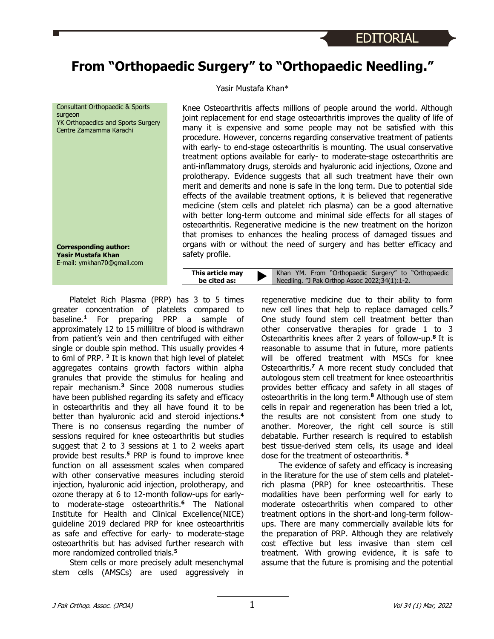## **From "Orthopaedic Surgery" to "Orthopaedic Needling."**



Yasir Mustafa Khan\*

Knee Osteoarthritis affects millions of people around the world. Although joint replacement for end stage osteoarthritis improves the quality of life of many it is expensive and some people may not be satisfied with this procedure. However, concerns regarding conservative treatment of patients with early- to end-stage osteoarthritis is mounting. The usual conservative treatment options available for early- to moderate-stage osteoarthritis are anti-inflammatory drugs, steroids and hyaluronic acid injections, Ozone and prolotherapy. Evidence suggests that all such treatment have their own merit and demerits and none is safe in the long term. Due to potential side effects of the available treatment options, it is believed that regenerative medicine (stem cells and platelet rich plasma) can be a good alternative with better long-term outcome and minimal side effects for all stages of osteoarthritis. Regenerative medicine is the new treatment on the horizon that promises to enhances the healing process of damaged tissues and organs with or without the need of surgery and has better efficacy and safety profile.

| This article may | Khan YM. From "Orthopaedic Surgery" to "Orthopaedic |
|------------------|-----------------------------------------------------|
| be cited as:     | Needling. "J Pak Orthop Assoc 2022;34(1):1-2.       |

Platelet Rich Plasma (PRP) has 3 to 5 times greater concentration of platelets compared to baseline. **<sup>1</sup>** For preparing PRP a sample of approximately 12 to 15 millilitre of blood is withdrawn from patient's vein and then centrifuged with either single or double spin method. This usually provides 4 to 6ml of PRP. <sup>2</sup> It is known that high level of platelet aggregates contains growth factors within alpha granules that provide the stimulus for healing and repair mechanism. **<sup>3</sup>** Since 2008 numerous studies have been published regarding its safety and efficacy in osteoarthritis and they all have found it to be better than hyaluronic acid and steroid injections. **4** There is no consensus regarding the number of sessions required for knee osteoarthritis but studies suggest that 2 to 3 sessions at 1 to 2 weeks apart provide best results. **<sup>5</sup>** PRP is found to improve knee function on all assessment scales when compared with other conservative measures including steroid injection, hyaluronic acid injection, prolotherapy, and ozone therapy at 6 to 12-month follow-ups for earlyto moderate-stage osteoarthritis. **<sup>6</sup>** The National Institute for Health and Clinical Excellence(NICE) guideline 2019 declared PRP for knee osteoarthritis as safe and effective for early- to moderate-stage osteoarthritis but has advised further research with more randomized controlled trials. **5**

Stem cells or more precisely adult mesenchymal stem cells (AMSCs) are used aggressively in

regenerative medicine due to their ability to form new cell lines that help to replace damaged cells. **7** One study found stem cell treatment better than other conservative therapies for grade 1 to 3 Osteoarthritis knees after 2 years of follow-up. **8** It is reasonable to assume that in future, more patients will be offered treatment with MSCs for knee Osteoarthritis.**<sup>7</sup>** A more recent study concluded that autologous stem cell treatment for knee osteoarthritis provides better efficacy and safety in all stages of osteoarthritis in the long term. **<sup>8</sup>** Although use of stem cells in repair and regeneration has been tried a lot, the results are not consistent from one study to another. Moreover, the right cell source is still debatable. Further research is required to establish best tissue-derived stem cells, its usage and ideal dose for the treatment of osteoarthritis. **8**

The evidence of safety and efficacy is increasing in the literature for the use of stem cells and plateletrich plasma (PRP) for knee osteoarthritis. These modalities have been performing well for early to moderate osteoarthritis when compared to other treatment options in the short-and long-term followups. There are many commercially available kits for the preparation of PRP. Although they are relatively cost effective but less invasive than stem cell treatment. With growing evidence, it is safe to assume that the future is promising and the potential